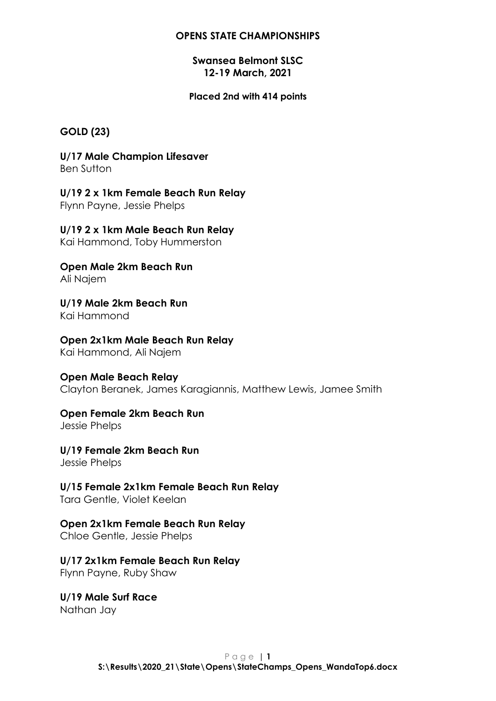## **Swansea Belmont SLSC 12-19 March, 2021**

#### **Placed 2nd with 414 points**

## **GOLD (23)**

**U/17 Male Champion Lifesaver** Ben Sutton

**U/19 2 x 1km Female Beach Run Relay** Flynn Payne, Jessie Phelps

#### **U/19 2 x 1km Male Beach Run Relay**

Kai Hammond, Toby Hummerston

**Open Male 2km Beach Run** Ali Najem

**U/19 Male 2km Beach Run** Kai Hammond

## **Open 2x1km Male Beach Run Relay**

Kai Hammond, Ali Najem

#### **Open Male Beach Relay**

Clayton Beranek, James Karagiannis, Matthew Lewis, Jamee Smith

#### **Open Female 2km Beach Run**

Jessie Phelps

**U/19 Female 2km Beach Run**

Jessie Phelps

## **U/15 Female 2x1km Female Beach Run Relay**

Tara Gentle, Violet Keelan

## **Open 2x1km Female Beach Run Relay**

Chloe Gentle, Jessie Phelps

#### **U/17 2x1km Female Beach Run Relay**

Flynn Payne, Ruby Shaw

## **U/19 Male Surf Race**

Nathan Jay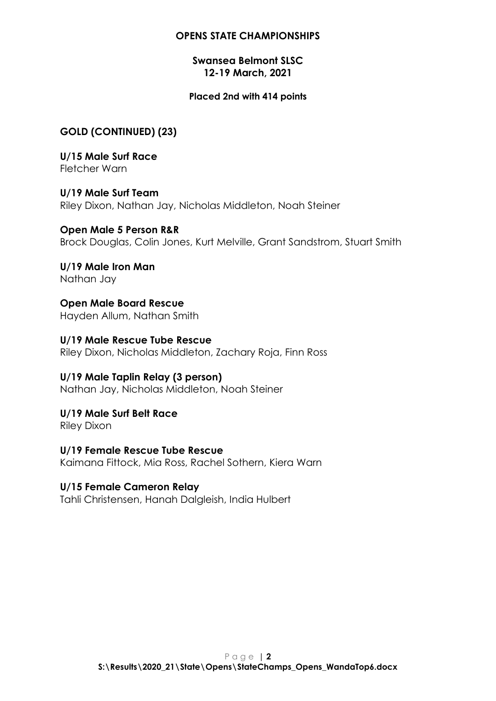## **Swansea Belmont SLSC 12-19 March, 2021**

## **Placed 2nd with 414 points**

## **GOLD (CONTINUED) (23)**

**U/15 Male Surf Race** Fletcher Warn

**U/19 Male Surf Team** Riley Dixon, Nathan Jay, Nicholas Middleton, Noah Steiner

**Open Male 5 Person R&R** Brock Douglas, Colin Jones, Kurt Melville, Grant Sandstrom, Stuart Smith

**U/19 Male Iron Man** Nathan Jay

**Open Male Board Rescue** Hayden Allum, Nathan Smith

**U/19 Male Rescue Tube Rescue** Riley Dixon, Nicholas Middleton, Zachary Roja, Finn Ross

# **U/19 Male Taplin Relay (3 person)**

Nathan Jay, Nicholas Middleton, Noah Steiner

**U/19 Male Surf Belt Race** Riley Dixon

**U/19 Female Rescue Tube Rescue** Kaimana Fittock, Mia Ross, Rachel Sothern, Kiera Warn

## **U/15 Female Cameron Relay**

Tahli Christensen, Hanah Dalgleish, India Hulbert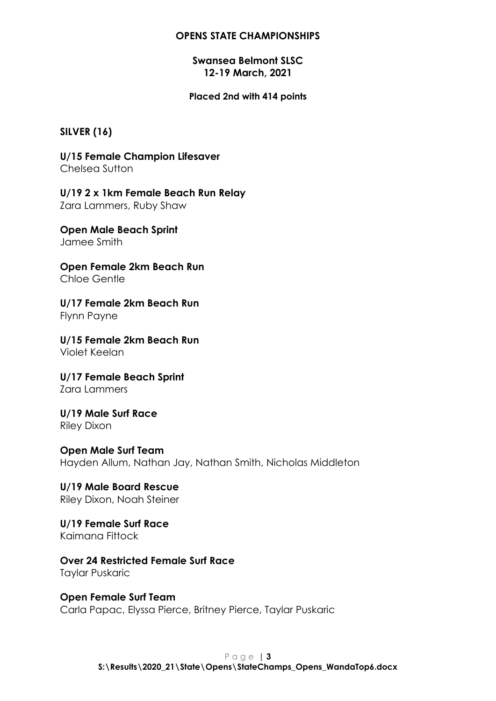## **Swansea Belmont SLSC 12-19 March, 2021**

**Placed 2nd with 414 points**

## **SILVER (16)**

**U/15 Female Champion Lifesaver** Chelsea Sutton

**U/19 2 x 1km Female Beach Run Relay** Zara Lammers, Ruby Shaw

**Open Male Beach Sprint** Jamee Smith

**Open Female 2km Beach Run** Chloe Gentle

**U/17 Female 2km Beach Run** Flynn Payne

**U/15 Female 2km Beach Run** Violet Keelan

**U/17 Female Beach Sprint** Zara Lammers

**U/19 Male Surf Race** Riley Dixon

**Open Male Surf Team** Hayden Allum, Nathan Jay, Nathan Smith, Nicholas Middleton

**U/19 Male Board Rescue** Riley Dixon, Noah Steiner

**U/19 Female Surf Race** Kaimana Fittock

**Over 24 Restricted Female Surf Race** Taylar Puskaric

**Open Female Surf Team** Carla Papac, Elyssa Pierce, Britney Pierce, Taylar Puskaric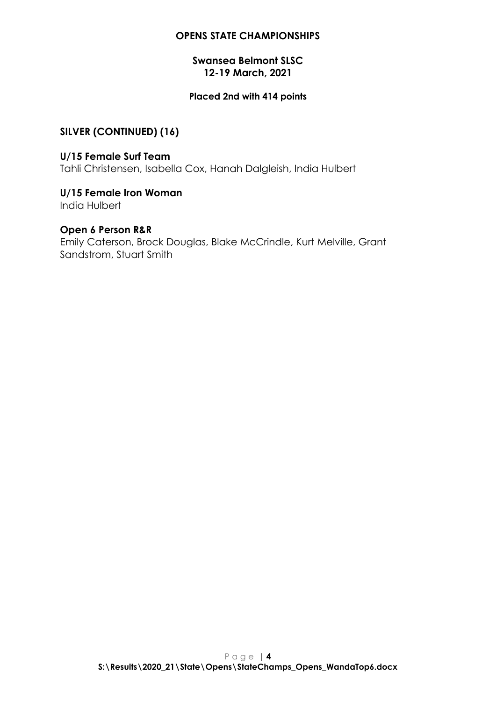## **Swansea Belmont SLSC 12-19 March, 2021**

## **Placed 2nd with 414 points**

## **SILVER (CONTINUED) (16)**

**U/15 Female Surf Team** Tahli Christensen, Isabella Cox, Hanah Dalgleish, India Hulbert

#### **U/15 Female Iron Woman** India Hulbert

## **Open 6 Person R&R**

Emily Caterson, Brock Douglas, Blake McCrindle, Kurt Melville, Grant Sandstrom, Stuart Smith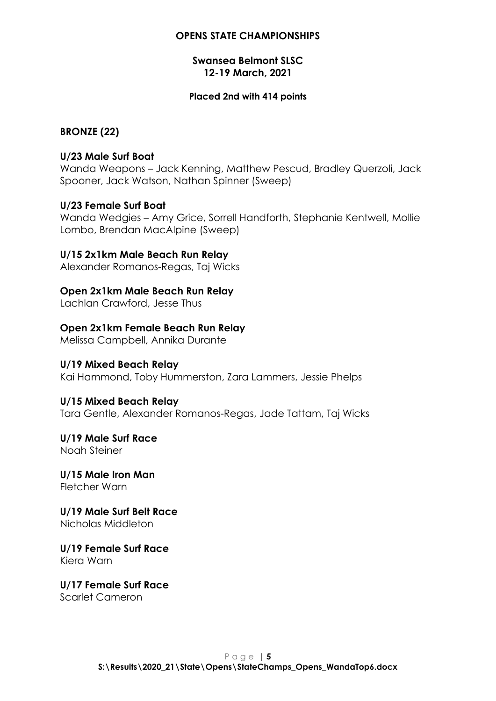## **Swansea Belmont SLSC 12-19 March, 2021**

#### **Placed 2nd with 414 points**

## **BRONZE (22)**

## **U/23 Male Surf Boat**

Wanda Weapons – Jack Kenning, Matthew Pescud, Bradley Querzoli, Jack Spooner, Jack Watson, Nathan Spinner (Sweep)

#### **U/23 Female Surf Boat**

Wanda Wedgies – Amy Grice, Sorrell Handforth, Stephanie Kentwell, Mollie Lombo, Brendan MacAlpine (Sweep)

## **U/15 2x1km Male Beach Run Relay**

Alexander Romanos-Regas, Taj Wicks

## **Open 2x1km Male Beach Run Relay**

Lachlan Crawford, Jesse Thus

## **Open 2x1km Female Beach Run Relay**

Melissa Campbell, Annika Durante

#### **U/19 Mixed Beach Relay**

Kai Hammond, Toby Hummerston, Zara Lammers, Jessie Phelps

## **U/15 Mixed Beach Relay**

Tara Gentle, Alexander Romanos-Regas, Jade Tattam, Taj Wicks

#### **U/19 Male Surf Race** Noah Steiner

**U/15 Male Iron Man** Fletcher Warn

#### **U/19 Male Surf Belt Race** Nicholas Middleton

#### **U/19 Female Surf Race** Kiera Warn

## **U/17 Female Surf Race**

Scarlet Cameron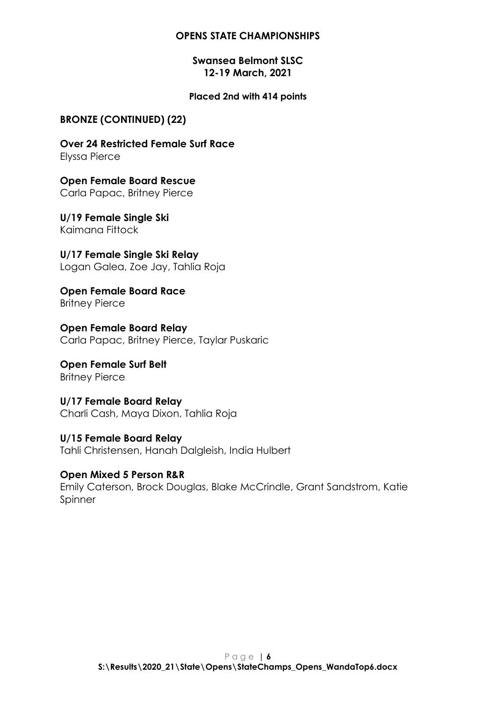## **Swansea Belmont SLSC 12-19 March, 2021**

#### **Placed 2nd with 414 points**

## **BRONZE (CONTINUED) (22)**

**Over 24 Restricted Female Surf Race** Elyssa Pierce

**Open Female Board Rescue** Carla Papac, Britney Pierce

**U/19 Female Single Ski** Kaimana Fittock

**U/17 Female Single Ski Relay** Logan Galea, Zoe Jay, Tahlia Roja

**Open Female Board Race** Britney Pierce

**Open Female Board Relay** Carla Papac, Britney Pierce, Taylar Puskaric

**Open Female Surf Belt** Britney Pierce

**U/17 Female Board Relay** Charli Cash, Maya Dixon, Tahlia Roja

**U/15 Female Board Relay** Tahli Christensen, Hanah Dalgleish, India Hulbert

**Open Mixed 5 Person R&R** Emily Caterson, Brock Douglas, Blake McCrindle, Grant Sandstrom, Katie Spinner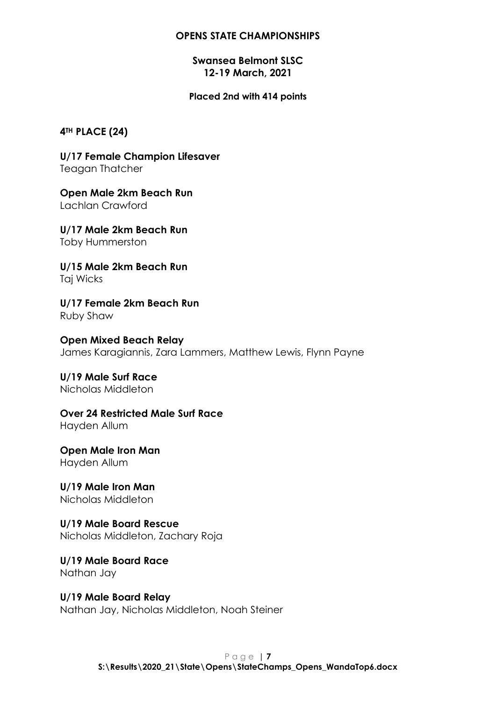## **Swansea Belmont SLSC 12-19 March, 2021**

#### **Placed 2nd with 414 points**

#### **4TH PLACE (24)**

**U/17 Female Champion Lifesaver** Teagan Thatcher

**Open Male 2km Beach Run** Lachlan Crawford

**U/17 Male 2km Beach Run** Toby Hummerston

**U/15 Male 2km Beach Run** Taj Wicks

**U/17 Female 2km Beach Run** Ruby Shaw

**Open Mixed Beach Relay** James Karagiannis, Zara Lammers, Matthew Lewis, Flynn Payne

**U/19 Male Surf Race** Nicholas Middleton

**Over 24 Restricted Male Surf Race**

Hayden Allum

**Open Male Iron Man** Hayden Allum

**U/19 Male Iron Man** Nicholas Middleton

**U/19 Male Board Rescue** Nicholas Middleton, Zachary Roja

**U/19 Male Board Race** Nathan Jay

**U/19 Male Board Relay** Nathan Jay, Nicholas Middleton, Noah Steiner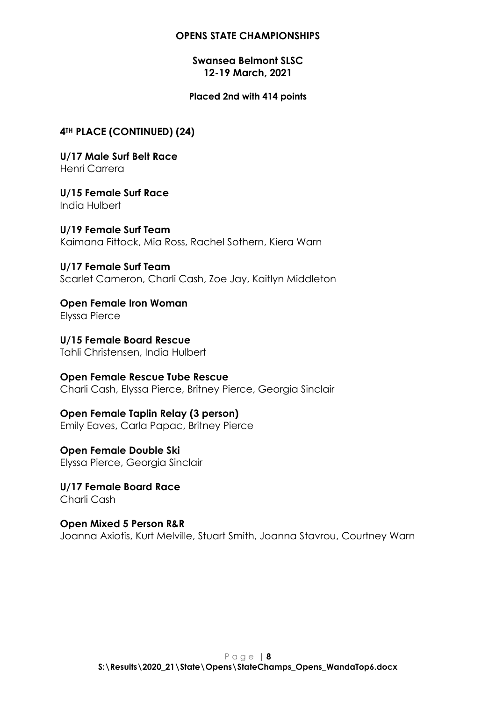## **Swansea Belmont SLSC 12-19 March, 2021**

#### **Placed 2nd with 414 points**

## **4TH PLACE (CONTINUED) (24)**

**U/17 Male Surf Belt Race** Henri Carrera

**U/15 Female Surf Race** India Hulbert

**U/19 Female Surf Team** Kaimana Fittock, Mia Ross, Rachel Sothern, Kiera Warn

**U/17 Female Surf Team** Scarlet Cameron, Charli Cash, Zoe Jay, Kaitlyn Middleton

**Open Female Iron Woman** Elyssa Pierce

**U/15 Female Board Rescue** Tahli Christensen, India Hulbert

**Open Female Rescue Tube Rescue** Charli Cash, Elyssa Pierce, Britney Pierce, Georgia Sinclair

**Open Female Taplin Relay (3 person)** Emily Eaves, Carla Papac, Britney Pierce

**Open Female Double Ski** Elyssa Pierce, Georgia Sinclair

**U/17 Female Board Race** Charli Cash

**Open Mixed 5 Person R&R** Joanna Axiotis, Kurt Melville, Stuart Smith, Joanna Stavrou, Courtney Warn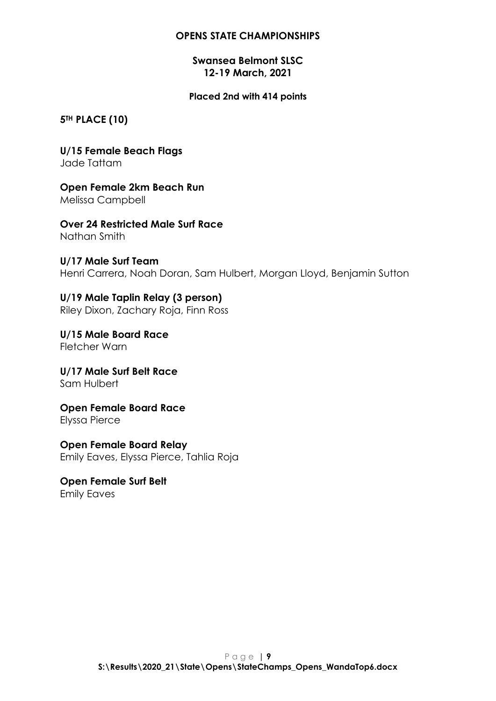## **Swansea Belmont SLSC 12-19 March, 2021**

#### **Placed 2nd with 414 points**

**5TH PLACE (10)**

**U/15 Female Beach Flags** Jade Tattam

**Open Female 2km Beach Run** Melissa Campbell

**Over 24 Restricted Male Surf Race** Nathan Smith

**U/17 Male Surf Team** Henri Carrera, Noah Doran, Sam Hulbert, Morgan Lloyd, Benjamin Sutton

**U/19 Male Taplin Relay (3 person)** Riley Dixon, Zachary Roja, Finn Ross

**U/15 Male Board Race** Fletcher Warn

**U/17 Male Surf Belt Race** Sam Hulbert

**Open Female Board Race** Elyssa Pierce

**Open Female Board Relay** Emily Eaves, Elyssa Pierce, Tahlia Roja

**Open Female Surf Belt** Emily Eaves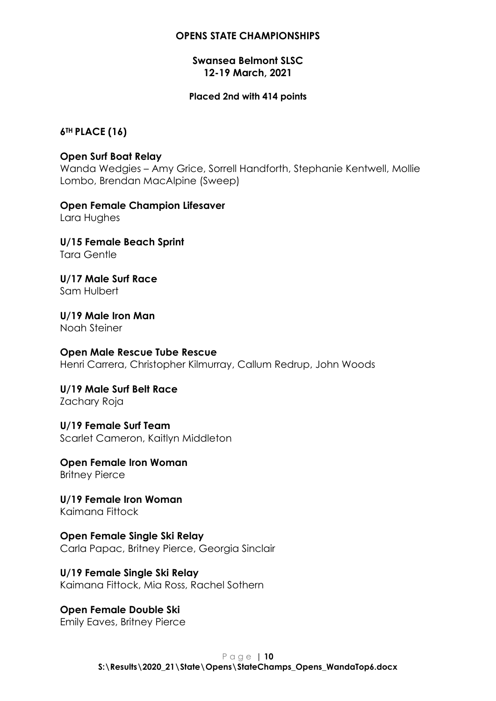## **Swansea Belmont SLSC 12-19 March, 2021**

#### **Placed 2nd with 414 points**

## **6TH PLACE (16)**

## **Open Surf Boat Relay**

Wanda Wedgies – Amy Grice, Sorrell Handforth, Stephanie Kentwell, Mollie Lombo, Brendan MacAlpine (Sweep)

**Open Female Champion Lifesaver** Lara Hughes

**U/15 Female Beach Sprint** Tara Gentle

**U/17 Male Surf Race** Sam Hulbert

**U/19 Male Iron Man** Noah Steiner

#### **Open Male Rescue Tube Rescue**

Henri Carrera, Christopher Kilmurray, Callum Redrup, John Woods

**U/19 Male Surf Belt Race** Zachary Roja

**U/19 Female Surf Team** Scarlet Cameron, Kaitlyn Middleton

**Open Female Iron Woman** Britney Pierce

**U/19 Female Iron Woman** Kaimana Fittock

**Open Female Single Ski Relay** Carla Papac, Britney Pierce, Georgia Sinclair

**U/19 Female Single Ski Relay** Kaimana Fittock, Mia Ross, Rachel Sothern

**Open Female Double Ski** Emily Eaves, Britney Pierce